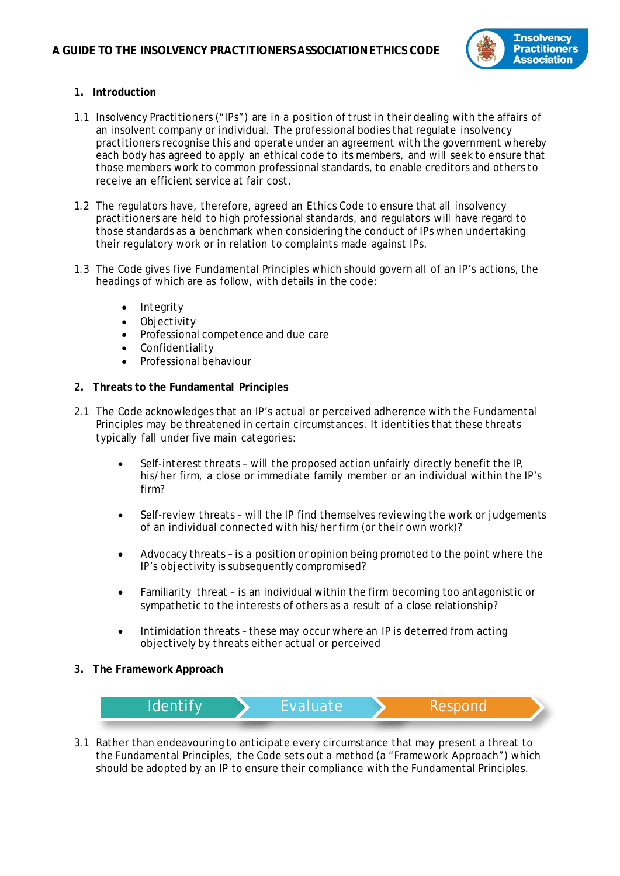

## **1. Introduction**

- 1.1 Insolvency Practitioners ("IPs") are in a position of trust in their dealing with the affairs of an insolvent company or individual. The professional bodies that regulate insolvency practitioners recognise this and operate under an agreement with the government whereby each body has agreed to apply an ethical code to its members, and will seek to ensure that those members work to common professional standards, to enable creditors and others to receive an efficient service at fair cost.
- 1.2 The regulators have, therefore, agreed an Ethics Code to ensure that all insolvency practitioners are held to high professional standards, and regulators will have regard to those standards as a benchmark when considering the conduct of IPs when undertaking their regulatory work or in relation to complaints made against IPs.
- 1.3 The Code gives five Fundamental Principles which should govern all of an IP's actions, the headings of which are as follow, with details in the code:
	- **Integrity**
	- Objectivity
	- Professional competence and due care
	- **Confidentiality**
	- Professional behaviour

## **2. Threats to the Fundamental Principles**

- 2.1 The Code acknowledges that an IP's actual or perceived adherence with the Fundamental Principles may be threatened in certain circumstances. It identities that these threats typically fall under five main categories:
	- Self-interest threats will the proposed action unfairly directly benefit the IP, his/her firm, a close or immediate family member or an individual within the IP's firm?
	- Self-review threats will the IP find themselves reviewing the work or judgements of an individual connected with his/her firm (or their own work)?
	- Advocacy threats is a position or opinion being promoted to the point where the IP's objectivity is subsequently compromised?
	- Familiarity threat is an individual within the firm becoming too antagonistic or sympathetic to the interests of others as a result of a close relationship?
	- Intimidation threats these may occur where an IP is deterred from acting objectively by threats either actual or perceived
- **3. The Framework Approach**



3.1 Rather than endeavouring to anticipate every circumstance that may present a threat to the Fundamental Principles, the Code sets out a method (a "Framework Approach") which should be adopted by an IP to ensure their compliance with the Fundamental Principles.